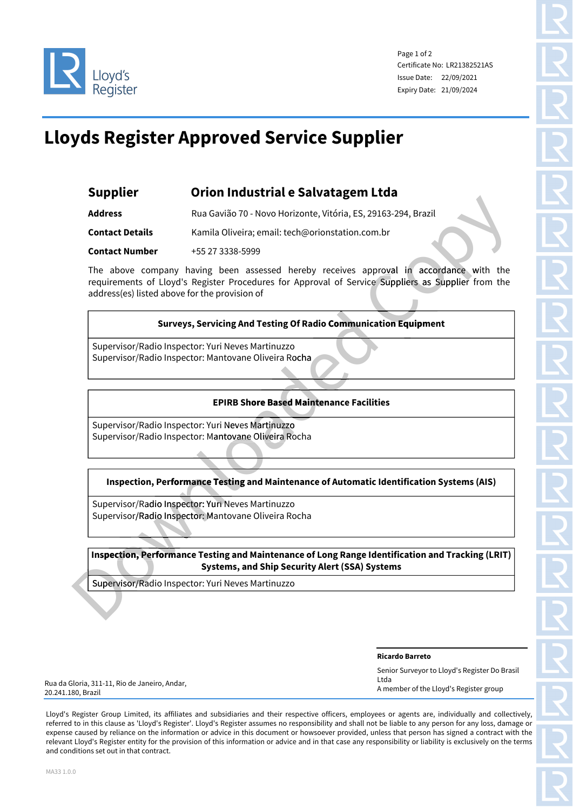

Page 1 of 2 Certificate No: LR21382521AS Issue Date: 22/09/2021 Expiry Date: 21/09/2024

 $\epsilon$ 

## **Lloyds Register Approved Service Supplier**

| Supplier | Orion Industrial e Salvatagem Ltda |
|----------|------------------------------------|
|----------|------------------------------------|

**Address** Rua Gavião 70 - Novo Horizonte, Vitória, ES, 29163-294, Brazil **Contact Details** Kamila Oliveira; email: tech@orionstation.com.br **Contact Number** +55 27 3338-5999

The above company having been assessed hereby receives approval in accordance with the requirements of Lloyd's Register Procedures for Approval of Service Suppliers as Supplier from the address(es) listed above for the provision of com.br<br>approval in accordance with<br>vice Suppliers as Supplier from<br>mication Equipment

# **Surveys, Servicing And Testing Of Radio Communication Equipment** Radio Communica

Supervisor/Radio Inspector: Yuri Neves Martinuzzo Supervisor/Radio Inspector: Mantovane Oliveira Rocha

#### **EPIRB Shore Based Maintenance Facilities**

Supervisor/Radio Inspector: Yuri Neves Martinuzzo Supervisor/Radio Inspector: Mantovane Oliveira Rocha **Thore Based Mainte<br>
Martinuzzo<br>
e Oliveira Rocha** 

#### **Inspection, Performance Testing and Maintenance of Automatic Identification Systems (AIS)**

Supervisor/Radio Inspector: Yuri Neves Martinuzzo Supervisor/Radio Inspector: Mantovane Oliveira Rocha Padio Inspector: Mantovane Oliv<br> **Example 3 Finding Terminance Testing and M**<br>
Padio Inspector: Vuri Neves Marti<br>
Padio Inspector: Mantovane Oliv<br> **Performance Testing and Main** 

**Inspection, Performance Testing and Maintenance of Long Range Identification and Tracking (LRIT) Systems, and Ship Security Alert (SSA) Systems** Inspection, Performance Testing and Maintenane<br>Systems, and Ship Sec<br>Supervisor/Radio Inspector: Yuri Neves Martinuzzo

**Ricardo Barreto**

Senior Surveyor to Lloyd's Register Do Brasil Ltda A member of the Lloyd's Register group

Rua da Gloria, 311-11, Rio de Janeiro, Andar, 20.241.180, Brazil

Lloyd's Register Group Limited, its affiliates and subsidiaries and their respective officers, employees or agents are, individually and collectively, referred to in this clause as 'Lloyd's Register'. Lloyd's Register assumes no responsibility and shall not be liable to any person for any loss, damage or expense caused by reliance on the information or advice in this document or howsoever provided, unless that person has signed a contract with the relevant Lloyd's Register entity for the provision of this information or advice and in that case any responsibility or liability is exclusively on the terms and conditions set out in that contract.